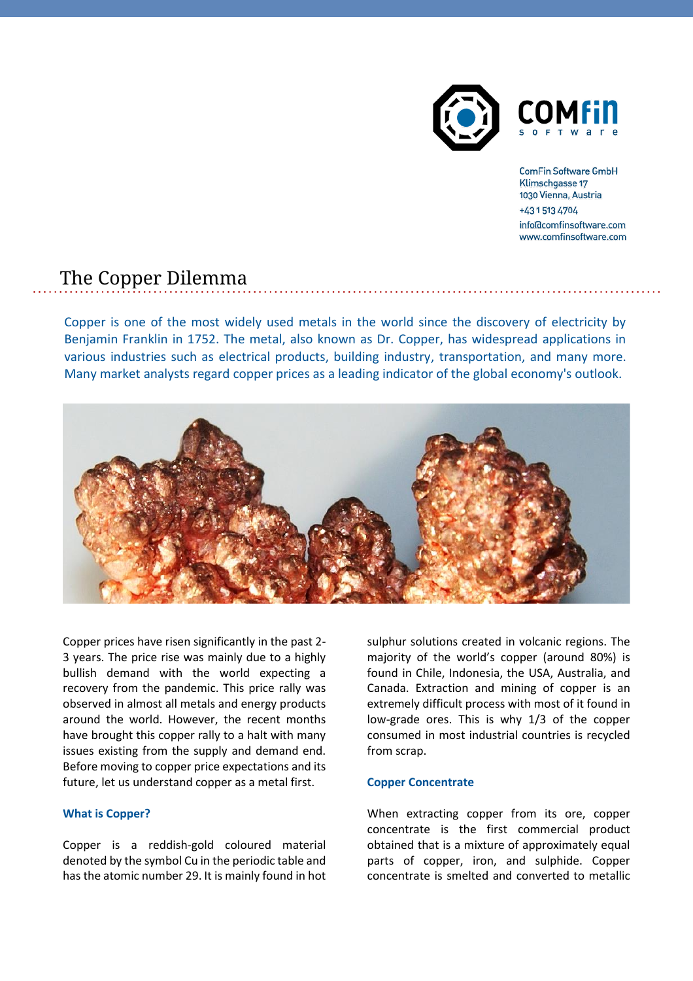

**ComFin Software GmbH** Klimschgasse 17 1030 Vienna, Austria +43 1 513 4704 info@comfinsoftware.com www.comfinsoftware.com

# The Copper Dilemma

Copper is one of the most widely used metals in the world since the discovery of electricity by Benjamin Franklin in 1752. The metal, also known as Dr. Copper, has widespread applications in various industries such as electrical products, building industry, transportation, and many more. Many market analysts regard copper prices as a leading indicator of the global economy's outlook.



Copper prices have risen significantly in the past 2- 3 years. The price rise was mainly due to a highly bullish demand with the world expecting a recovery from the pandemic. This price rally was observed in almost all metals and energy products around the world. However, the recent months have brought this copper rally to a halt with many issues existing from the supply and demand end. Before moving to copper price expectations and its future, let us understand copper as a metal first.

# **What is Copper?**

Copper is a reddish-gold coloured material denoted by the symbol Cu in the periodic table and has the atomic number 29. It is mainly found in hot

sulphur solutions created in volcanic regions. The majority of the world's copper (around 80%) is found in Chile, Indonesia, the USA, Australia, and Canada. Extraction and mining of copper is an extremely difficult process with most of it found in low-grade ores. This is why 1/3 of the copper consumed in most industrial countries is recycled from scrap.

## **Copper Concentrate**

When extracting copper from its ore, copper concentrate is the first commercial product obtained that is a mixture of approximately equal parts of copper, iron, and sulphide. Copper concentrate is smelted and converted to metallic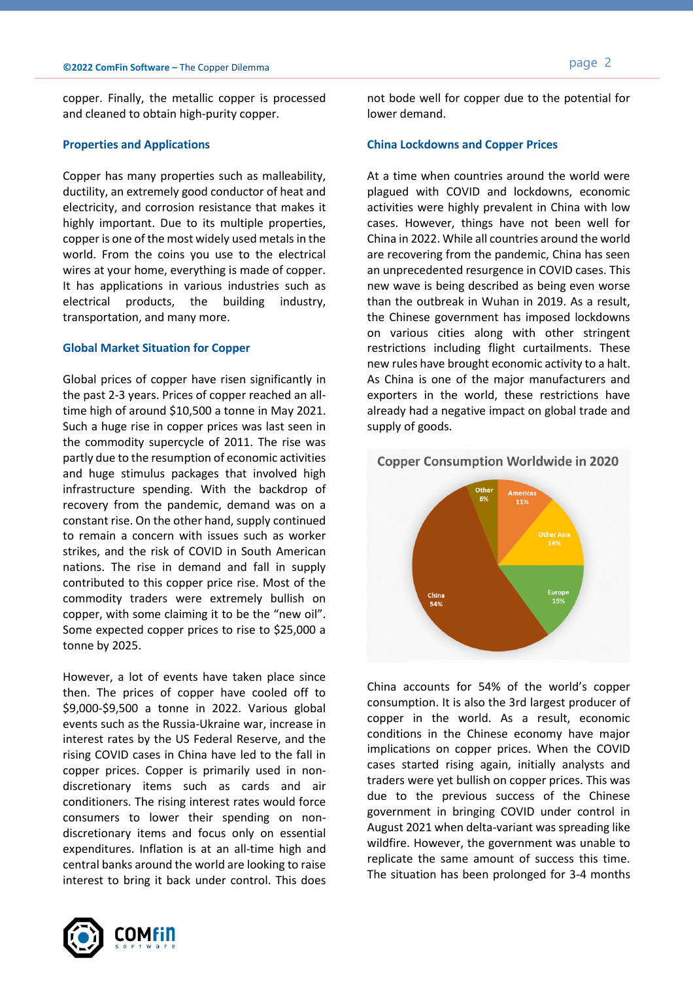copper. Finally, the metallic copper is processed and cleaned to obtain high-purity copper.

#### **Properties and Applications**

Copper has many properties such as malleability, ductility, an extremely good conductor of heat and electricity, and corrosion resistance that makes it highly important. Due to its multiple properties, copper is one of the most widely used metals in the world. From the coins you use to the electrical wires at your home, everything is made of copper. It has applications in various industries such as electrical products, the building industry, transportation, and many more.

## **Global Market Situation for Copper**

Global prices of copper have risen significantly in the past 2-3 years. Prices of copper reached an alltime high of around \$10,500 a tonne in May 2021. Such a huge rise in copper prices was last seen in the commodity supercycle of 2011. The rise was partly due to the resumption of economic activities and huge stimulus packages that involved high infrastructure spending. With the backdrop of recovery from the pandemic, demand was on a constant rise. On the other hand, supply continued to remain a concern with issues such as worker strikes, and the risk of COVID in South American nations. The rise in demand and fall in supply contributed to this copper price rise. Most of the commodity traders were extremely bullish on copper, with some claiming it to be the "new oil". Some expected copper prices to rise to \$25,000 a tonne by 2025.

However, a lot of events have taken place since then. The prices of copper have cooled off to \$9,000-\$9,500 a tonne in 2022. Various global events such as the Russia-Ukraine war, increase in interest rates by the US Federal Reserve, and the rising COVID cases in China have led to the fall in copper prices. Copper is primarily used in nondiscretionary items such as cards and air conditioners. The rising interest rates would force consumers to lower their spending on nondiscretionary items and focus only on essential expenditures. Inflation is at an all-time high and central banks around the world are looking to raise interest to bring it back under control. This does



not bode well for copper due to the potential for lower demand.

#### **China Lockdowns and Copper Prices**

At a time when countries around the world were plagued with COVID and lockdowns, economic activities were highly prevalent in China with low cases. However, things have not been well for China in 2022. While all countries around the world are recovering from the pandemic, China has seen an unprecedented resurgence in COVID cases. This new wave is being described as being even worse than the outbreak in Wuhan in 2019. As a result, the Chinese government has imposed lockdowns on various cities along with other stringent restrictions including flight curtailments. These new rules have brought economic activity to a halt. As China is one of the major manufacturers and exporters in the world, these restrictions have already had a negative impact on global trade and supply of goods.

#### **Copper Consumption Worldwide in 2020**



China accounts for 54% of the world's copper consumption. It is also the 3rd largest producer of copper in the world. As a result, economic conditions in the Chinese economy have major implications on copper prices. When the COVID cases started rising again, initially analysts and traders were yet bullish on copper prices. This was due to the previous success of the Chinese government in bringing COVID under control in August 2021 when delta-variant was spreading like wildfire. However, the government was unable to replicate the same amount of success this time. The situation has been prolonged for 3-4 months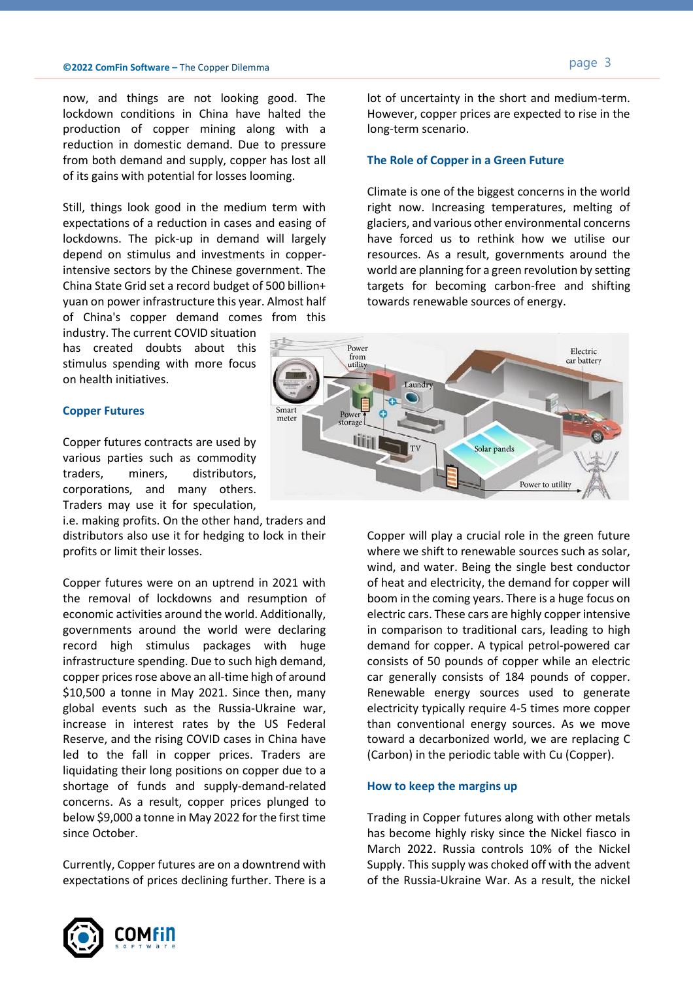now, and things are not looking good. The lockdown conditions in China have halted the production of copper mining along with a reduction in domestic demand. Due to pressure from both demand and supply, copper has lost all of its gains with potential for losses looming.

Still, things look good in the medium term with expectations of a reduction in cases and easing of lockdowns. The pick-up in demand will largely depend on stimulus and investments in copperintensive sectors by the Chinese government. The China State Grid set a record budget of 500 billion+ yuan on power infrastructure this year. Almost half of China's copper demand comes from this

industry. The current COVID situation has created doubts about this stimulus spending with more focus on health initiatives.

#### **Copper Futures**

Copper futures contracts are used by various parties such as commodity traders, miners, distributors, corporations, and many others. Traders may use it for speculation,

i.e. making profits. On the other hand, traders and distributors also use it for hedging to lock in their profits or limit their losses.

Copper futures were on an uptrend in 2021 with the removal of lockdowns and resumption of economic activities around the world. Additionally, governments around the world were declaring record high stimulus packages with huge infrastructure spending. Due to such high demand, copper prices rose above an all-time high of around \$10,500 a tonne in May 2021. Since then, many global events such as the Russia-Ukraine war, increase in interest rates by the US Federal Reserve, and the rising COVID cases in China have led to the fall in copper prices. Traders are liquidating their long positions on copper due to a shortage of funds and supply-demand-related concerns. As a result, copper prices plunged to below \$9,000 a tonne in May 2022 for the first time since October.

Currently, Copper futures are on a downtrend with expectations of prices declining further. There is a lot of uncertainty in the short and medium-term. However, copper prices are expected to rise in the long-term scenario.

#### **The Role of Copper in a Green Future**

Climate is one of the biggest concerns in the world right now. Increasing temperatures, melting of glaciers, and various other environmental concerns have forced us to rethink how we utilise our resources. As a result, governments around the world are planning for a green revolution by setting targets for becoming carbon-free and shifting towards renewable sources of energy.



Copper will play a crucial role in the green future where we shift to renewable sources such as solar, wind, and water. Being the single best conductor of heat and electricity, the demand for copper will boom in the coming years. There is a huge focus on electric cars. These cars are highly copper intensive in comparison to traditional cars, leading to high demand for copper. A typical petrol-powered car consists of 50 pounds of copper while an electric car generally consists of 184 pounds of copper. Renewable energy sources used to generate electricity typically require 4-5 times more copper than conventional energy sources. As we move toward a decarbonized world, we are replacing C (Carbon) in the periodic table with Cu (Copper).

#### **How to keep the margins up**

Trading in Copper futures along with other metals has become highly risky since the Nickel fiasco in March 2022. Russia controls 10% of the Nickel Supply. This supply was choked off with the advent of the Russia-Ukraine War. As a result, the nickel

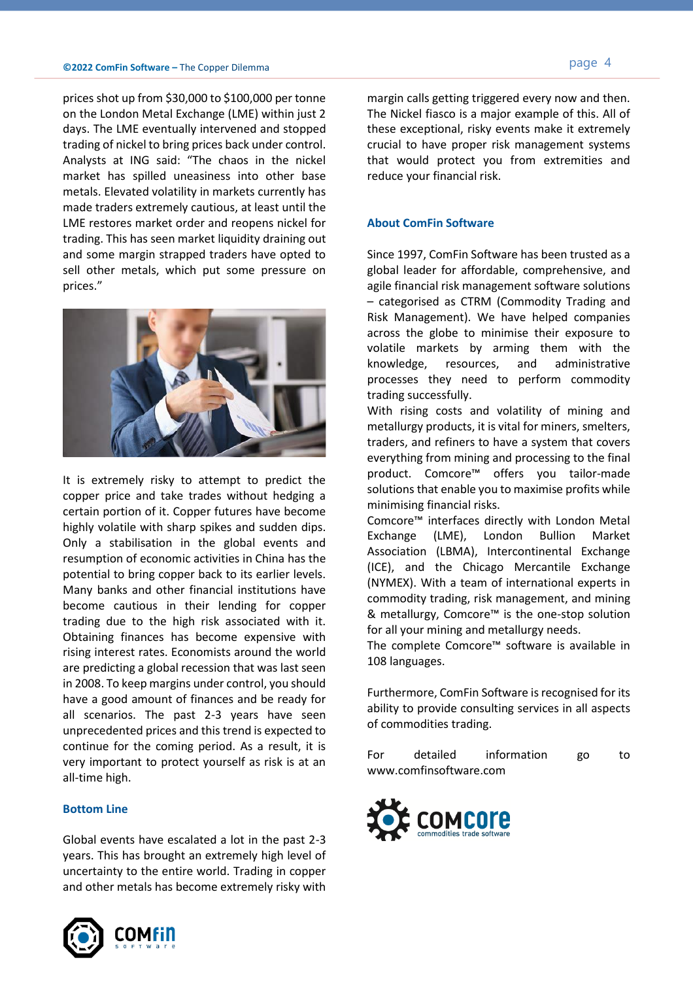prices shot up from \$30,000 to \$100,000 per tonne on the London Metal Exchange (LME) within just 2 days. The LME eventually intervened and stopped trading of nickel to bring prices back under control. Analysts at ING said: "The chaos in the nickel market has spilled uneasiness into other base metals. Elevated volatility in markets currently has made traders extremely cautious, at least until the LME restores market order and reopens nickel for trading. This has seen market liquidity draining out and some margin strapped traders have opted to sell other metals, which put some pressure on prices."



It is extremely risky to attempt to predict the copper price and take trades without hedging a certain portion of it. Copper futures have become highly volatile with sharp spikes and sudden dips. Only a stabilisation in the global events and resumption of economic activities in China has the potential to bring copper back to its earlier levels. Many banks and other financial institutions have become cautious in their lending for copper trading due to the high risk associated with it. Obtaining finances has become expensive with rising interest rates. Economists around the world are predicting a global recession that was last seen in 2008. To keep margins under control, you should have a good amount of finances and be ready for all scenarios. The past 2-3 years have seen unprecedented prices and this trend is expected to continue for the coming period. As a result, it is very important to protect yourself as risk is at an all-time high.

## **Bottom Line**

Global events have escalated a lot in the past 2-3 years. This has brought an extremely high level of uncertainty to the entire world. Trading in copper and other metals has become extremely risky with



margin calls getting triggered every now and then. The Nickel fiasco is a major example of this. All of these exceptional, risky events make it extremely crucial to have proper risk management systems that would protect you from extremities and reduce your financial risk.

## **About ComFin Software**

Since 1997, ComFin Software has been trusted as a global leader for affordable, comprehensive, and agile financial risk management software solutions – categorised as CTRM (Commodity Trading and Risk Management). We have helped companies across the globe to minimise their exposure to volatile markets by arming them with the knowledge, resources, and administrative processes they need to perform commodity trading successfully.

With rising costs and volatility of mining and metallurgy products, it is vital for miners, smelters, traders, and refiners to have a system that covers everything from mining and processing to the final product. Comcore™ offers you tailor-made solutions that enable you to maximise profits while minimising financial risks.

Comcore™ interfaces directly with London Metal Exchange (LME), London Bullion Market Association (LBMA), Intercontinental Exchange (ICE), and the Chicago Mercantile Exchange (NYMEX). With a team of international experts in commodity trading, risk management, and mining & metallurgy, Comcore™ is the one-stop solution for all your mining and metallurgy needs.

The complete Comcore™ software is available in 108 languages.

Furthermore, ComFin Software is recognised for its ability to provide consulting services in all aspects of commodities trading.

For detailed information go to www.comfinsoftware.com